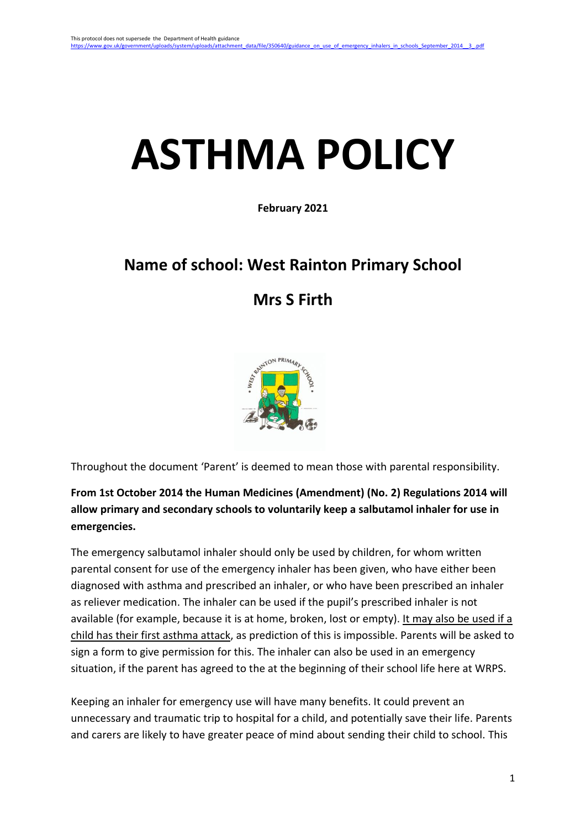# **ASTHMA POLICY**

**February 2021**

# **Name of school: West Rainton Primary School**

# **Mrs S Firth**



Throughout the document 'Parent' is deemed to mean those with parental responsibility.

**From 1st October 2014 the Human Medicines (Amendment) (No. 2) Regulations 2014 will allow primary and secondary schools to voluntarily keep a salbutamol inhaler for use in emergencies.**

The emergency salbutamol inhaler should only be used by children, for whom written parental consent for use of the emergency inhaler has been given, who have either been diagnosed with asthma and prescribed an inhaler, or who have been prescribed an inhaler as reliever medication. The inhaler can be used if the pupil's prescribed inhaler is not available (for example, because it is at home, broken, lost or empty). It may also be used if a child has their first asthma attack, as prediction of this is impossible. Parents will be asked to sign a form to give permission for this. The inhaler can also be used in an emergency situation, if the parent has agreed to the at the beginning of their school life here at WRPS.

Keeping an inhaler for emergency use will have many benefits. It could prevent an unnecessary and traumatic trip to hospital for a child, and potentially save their life. Parents and carers are likely to have greater peace of mind about sending their child to school. This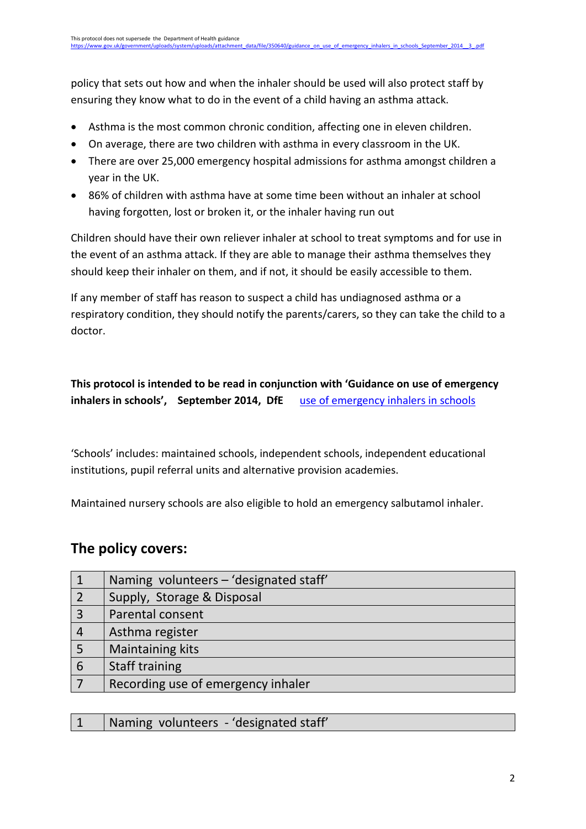policy that sets out how and when the inhaler should be used will also protect staff by ensuring they know what to do in the event of a child having an asthma attack.

- Asthma is the most common chronic condition, affecting one in eleven children.
- On average, there are two children with asthma in every classroom in the UK.
- There are over 25,000 emergency hospital admissions for asthma amongst children a year in the UK.
- 86% of children with asthma have at some time been without an inhaler at school having forgotten, lost or broken it, or the inhaler having run out

Children should have their own reliever inhaler at school to treat symptoms and for use in the event of an asthma attack. If they are able to manage their asthma themselves they should keep their inhaler on them, and if not, it should be easily accessible to them.

If any member of staff has reason to suspect a child has undiagnosed asthma or a respiratory condition, they should notify the parents/carers, so they can take the child to a doctor.

### **This protocol is intended to be read in conjunction with 'Guidance on use of emergency inhalers in schools', September 2014, DfE** [use of emergency inhalers in schools](https://www.gov.uk/government/uploads/system/uploads/attachment_data/file/350640/guidance_on_use_of_emergency_inhalers_in_schools_September_2014__3_.pdf)

'Schools' includes: maintained schools, independent schools, independent educational institutions, pupil referral units and alternative provision academies.

Maintained nursery schools are also eligible to hold an emergency salbutamol inhaler.

## **The policy covers:**

|                | Naming volunteers - 'designated staff' |
|----------------|----------------------------------------|
|                | Supply, Storage & Disposal             |
| 3              | Parental consent                       |
| $\overline{4}$ | Asthma register                        |
|                | Maintaining kits                       |
| 6              | <b>Staff training</b>                  |
|                | Recording use of emergency inhaler     |

|  | 1   Naming volunteers - 'designated staff' |  |
|--|--------------------------------------------|--|
|  |                                            |  |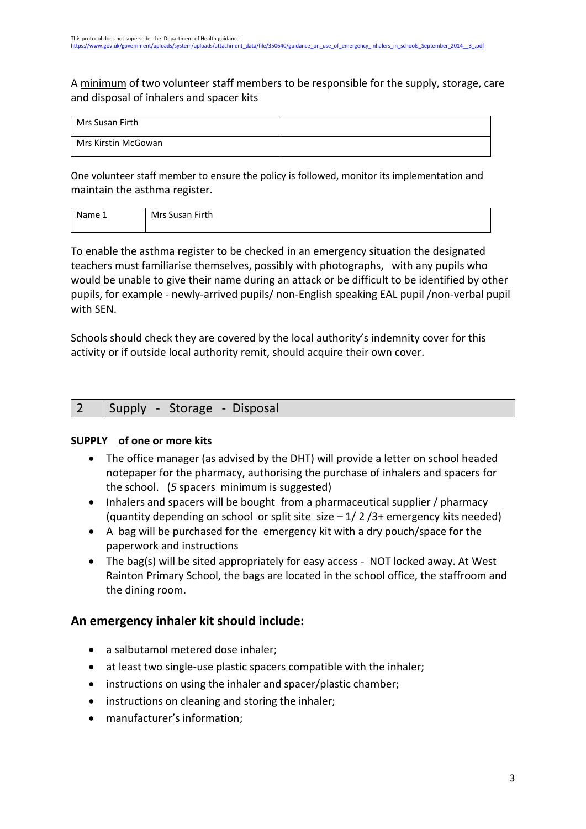A minimum of two volunteer staff members to be responsible for the supply, storage, care and disposal of inhalers and spacer kits

| Mrs Susan Firth     |  |
|---------------------|--|
| Mrs Kirstin McGowan |  |

One volunteer staff member to ensure the policy is followed, monitor its implementation and maintain the asthma register.

| Name 1 | Mrs Susan Firth |
|--------|-----------------|
|        |                 |

To enable the asthma register to be checked in an emergency situation the designated teachers must familiarise themselves, possibly with photographs, with any pupils who would be unable to give their name during an attack or be difficult to be identified by other pupils, for example - newly-arrived pupils/ non-English speaking EAL pupil /non-verbal pupil with SEN.

Schools should check they are covered by the local authority's indemnity cover for this activity or if outside local authority remit, should acquire their own cover.

|--|

#### **SUPPLY of one or more kits**

- The office manager (as advised by the DHT) will provide a letter on school headed notepaper for the pharmacy, authorising the purchase of inhalers and spacers for the school. (*5* spacers minimum is suggested)
- Inhalers and spacers will be bought from a pharmaceutical supplier / pharmacy (quantity depending on school or split site size  $-1/2/3+$  emergency kits needed)
- A bag will be purchased for the emergency kit with a dry pouch/space for the paperwork and instructions
- The bag(s) will be sited appropriately for easy access NOT locked away. At West Rainton Primary School, the bags are located in the school office, the staffroom and the dining room.

#### **An emergency inhaler kit should include:**

- a salbutamol metered dose inhaler;
- at least two single-use plastic spacers compatible with the inhaler;
- instructions on using the inhaler and spacer/plastic chamber;
- instructions on cleaning and storing the inhaler;
- manufacturer's information;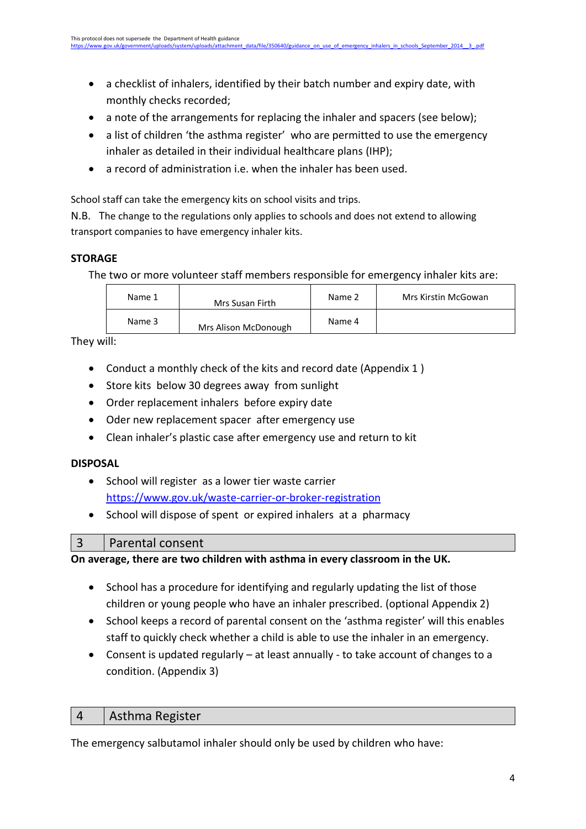- a checklist of inhalers, identified by their batch number and expiry date, with monthly checks recorded;
- a note of the arrangements for replacing the inhaler and spacers (see below);
- a list of children 'the asthma register' who are permitted to use the emergency inhaler as detailed in their individual healthcare plans (IHP);
- a record of administration i.e. when the inhaler has been used.

School staff can take the emergency kits on school visits and trips.

N.B. The change to the regulations only applies to schools and does not extend to allowing transport companies to have emergency inhaler kits.

#### **STORAGE**

The two or more volunteer staff members responsible for emergency inhaler kits are:

| Name 1 | Mrs Susan Firth      | Name 2 | Mrs Kirstin McGowan |
|--------|----------------------|--------|---------------------|
| Name 3 | Mrs Alison McDonough | Name 4 |                     |

They will:

- Conduct a monthly check of the kits and record date (Appendix 1 )
- Store kits below 30 degrees away from sunlight
- Order replacement inhalers before expiry date
- Oder new replacement spacer after emergency use
- Clean inhaler's plastic case after emergency use and return to kit

#### **DISPOSAL**

- School will register as a lower tier waste carrier <https://www.gov.uk/waste-carrier-or-broker-registration>
- School will dispose of spent or expired inhalers at a pharmacy

#### 3 Parental consent

**On average, there are two children with asthma in every classroom in the UK.** 

- School has a procedure for identifying and regularly updating the list of those children or young people who have an inhaler prescribed. (optional Appendix 2)
- School keeps a record of parental consent on the 'asthma register' will this enables staff to quickly check whether a child is able to use the inhaler in an emergency.
- Consent is updated regularly at least annually to take account of changes to a condition. (Appendix 3)

#### 4 | Asthma Register

The emergency salbutamol inhaler should only be used by children who have: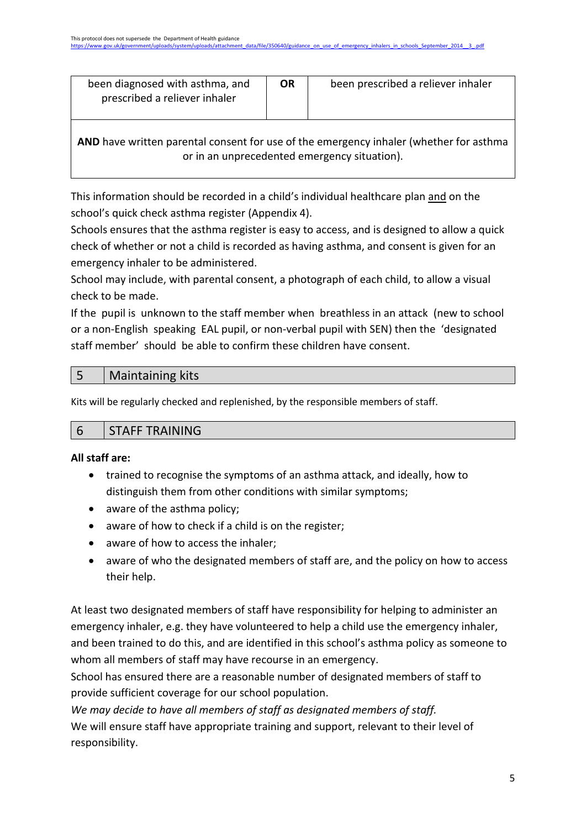| been diagnosed with asthma, and<br>prescribed a reliever inhaler | ΟR | been prescribed a reliever inhaler |
|------------------------------------------------------------------|----|------------------------------------|
|                                                                  |    |                                    |

**AND** have written parental consent for use of the emergency inhaler (whether for asthma or in an unprecedented emergency situation).

This information should be recorded in a child's individual healthcare plan and on the school's quick check asthma register (Appendix 4).

Schools ensures that the asthma register is easy to access, and is designed to allow a quick check of whether or not a child is recorded as having asthma, and consent is given for an emergency inhaler to be administered.

School may include, with parental consent, a photograph of each child, to allow a visual check to be made.

If the pupil is unknown to the staff member when breathless in an attack (new to school or a non-English speaking EAL pupil, or non-verbal pupil with SEN) then the 'designated staff member' should be able to confirm these children have consent.

### 5 Maintaining kits

Kits will be regularly checked and replenished, by the responsible members of staff.

|  | 6 STAFF TRAINING |  |  |
|--|------------------|--|--|
|--|------------------|--|--|

#### **All staff are:**

- trained to recognise the symptoms of an asthma attack, and ideally, how to distinguish them from other conditions with similar symptoms;
- aware of the asthma policy;
- aware of how to check if a child is on the register;
- aware of how to access the inhaler;
- aware of who the designated members of staff are, and the policy on how to access their help.

At least two designated members of staff have responsibility for helping to administer an emergency inhaler, e.g. they have volunteered to help a child use the emergency inhaler, and been trained to do this, and are identified in this school's asthma policy as someone to whom all members of staff may have recourse in an emergency.

School has ensured there are a reasonable number of designated members of staff to provide sufficient coverage for our school population.

*We may decide to have all members of staff as designated members of staff.*  We will ensure staff have appropriate training and support, relevant to their level of responsibility.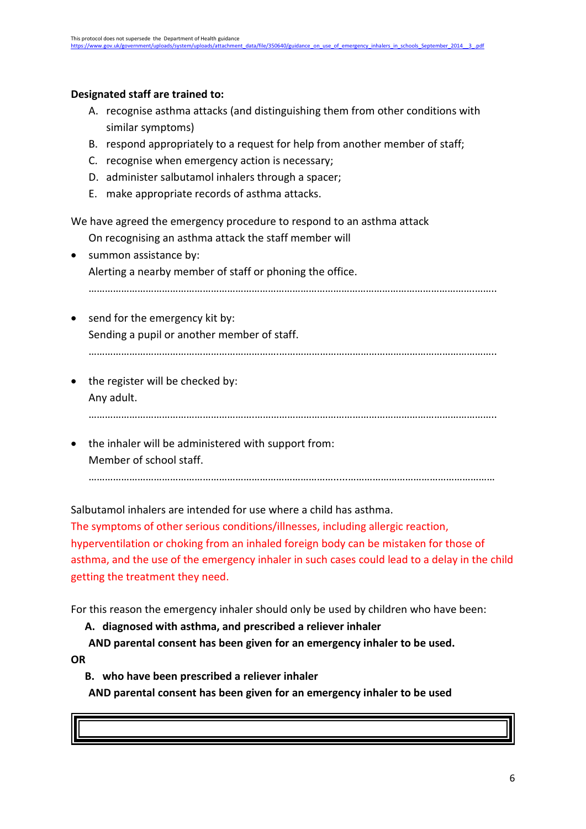#### **Designated staff are trained to:**

- A. recognise asthma attacks (and distinguishing them from other conditions with similar symptoms)
- B. respond appropriately to a request for help from another member of staff;
- C. recognise when emergency action is necessary;
- D. administer salbutamol inhalers through a spacer;
- E. make appropriate records of asthma attacks.

We have agreed the emergency procedure to respond to an asthma attack

- On recognising an asthma attack the staff member will
- summon assistance by: Alerting a nearby member of staff or phoning the office.

…………………………………………………………………………………………………………………………….……..

- send for the emergency kit by: Sending a pupil or another member of staff. …………………………………………………………….……………………………………………………………………..
- the register will be checked by: Any adult.
	- …………………………………………………….……………………………………………………………………………..
- the inhaler will be administered with support from: Member of school staff.

……………………………………………………………………………….....………………………………………………

Salbutamol inhalers are intended for use where a child has asthma.

The symptoms of other serious conditions/illnesses, including allergic reaction, hyperventilation or choking from an inhaled foreign body can be mistaken for those of asthma, and the use of the emergency inhaler in such cases could lead to a delay in the child getting the treatment they need.

For this reason the emergency inhaler should only be used by children who have been:

**A. diagnosed with asthma, and prescribed a reliever inhaler**

**AND parental consent has been given for an emergency inhaler to be used. OR**

**B. who have been prescribed a reliever inhaler** 

**AND parental consent has been given for an emergency inhaler to be used**

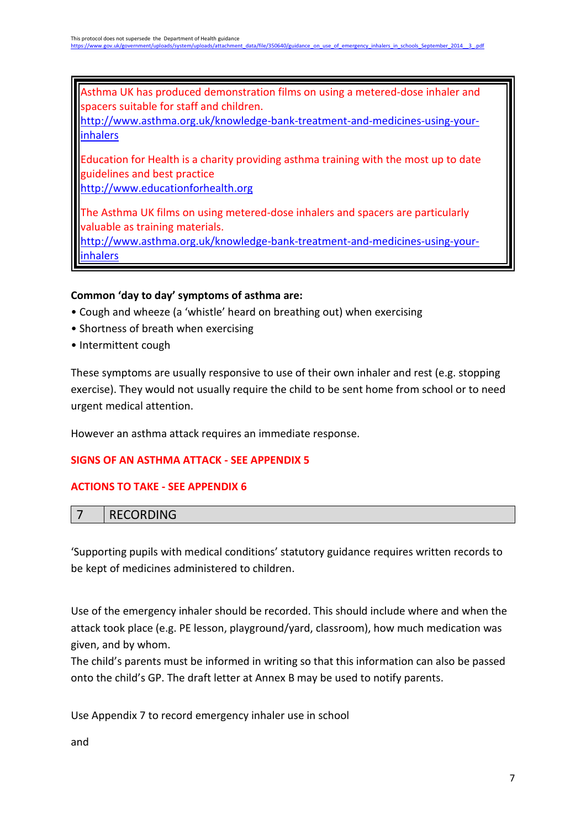Asthma UK has produced demonstration films on using a metered-dose inhaler and spacers suitable for staff and children.

[http://www.asthma.org.uk/knowledge-bank-treatment-and-medicines-using-your](http://www.asthma.org.uk/knowledge-bank-treatment-and-medicines-using-your-inhalers)[inhalers](http://www.asthma.org.uk/knowledge-bank-treatment-and-medicines-using-your-inhalers)

Education for Health is a charity providing asthma training with the most up to date guidelines and best practice

[http://www.educationforhealth.org](http://www.educationforhealth.org/)

The Asthma UK films on using metered-dose inhalers and spacers are particularly valuable as training materials.

[http://www.asthma.org.uk/knowledge-bank-treatment-and-medicines-using-your](http://www.asthma.org.uk/knowledge-bank-treatment-and-medicines-using-your-inhalers)[inhalers](http://www.asthma.org.uk/knowledge-bank-treatment-and-medicines-using-your-inhalers)

#### **Common 'day to day' symptoms of asthma are:**

- Cough and wheeze (a 'whistle' heard on breathing out) when exercising
- Shortness of breath when exercising
- Intermittent cough

These symptoms are usually responsive to use of their own inhaler and rest (e.g. stopping exercise). They would not usually require the child to be sent home from school or to need urgent medical attention.

However an asthma attack requires an immediate response.

#### **SIGNS OF AN ASTHMA ATTACK - SEE APPENDIX 5**

#### **ACTIONS TO TAKE - SEE APPENDIX 6**

|  | DFCODDIRIC<br><b>טוועמענדע</b> |
|--|--------------------------------|
|--|--------------------------------|

'Supporting pupils with medical conditions' statutory guidance requires written records to be kept of medicines administered to children.

Use of the emergency inhaler should be recorded. This should include where and when the attack took place (e.g. PE lesson, playground/yard, classroom), how much medication was given, and by whom.

The child's parents must be informed in writing so that this information can also be passed onto the child's GP. The draft letter at Annex B may be used to notify parents.

Use Appendix 7 to record emergency inhaler use in school

and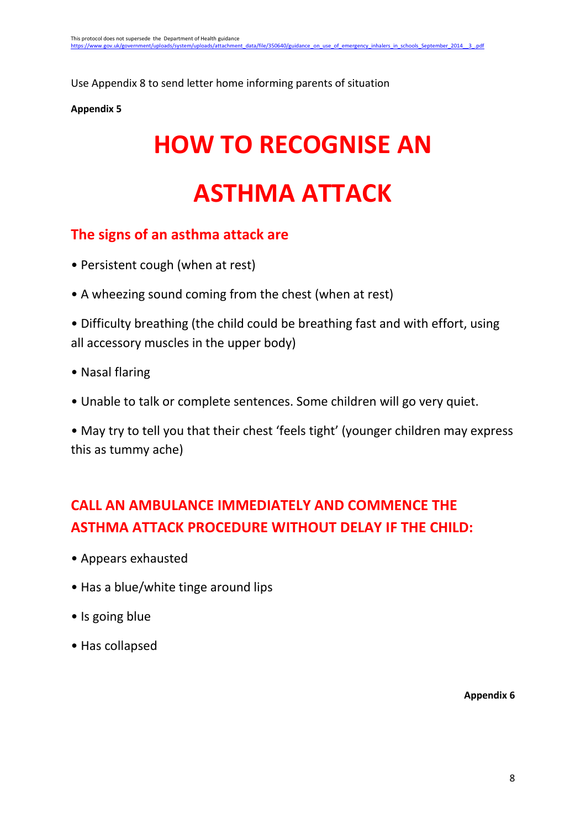Use Appendix 8 to send letter home informing parents of situation

#### **Appendix 5**

# **HOW TO RECOGNISE AN**

# **ASTHMA ATTACK**

## **The signs of an asthma attack are**

- Persistent cough (when at rest)
- A wheezing sound coming from the chest (when at rest)
- Difficulty breathing (the child could be breathing fast and with effort, using all accessory muscles in the upper body)
- Nasal flaring
- Unable to talk or complete sentences. Some children will go very quiet.

• May try to tell you that their chest 'feels tight' (younger children may express this as tummy ache)

# **CALL AN AMBULANCE IMMEDIATELY AND COMMENCE THE ASTHMA ATTACK PROCEDURE WITHOUT DELAY IF THE CHILD:**

- Appears exhausted
- Has a blue/white tinge around lips
- Is going blue
- Has collapsed

**Appendix 6**